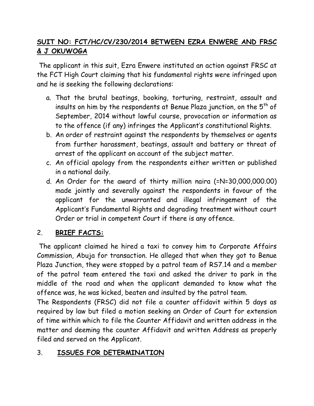# **SUIT NO: FCT/HC/CV/230/2014 BETWEEN EZRA ENWERE AND FRSC & J OKUWOGA**

The applicant in this suit, Ezra Enwere instituted an action against FRSC at the FCT High Court claiming that his fundamental rights were infringed upon and he is seeking the following declarations:

- a. That the brutal beatings, booking, torturing, restraint, assault and insults on him by the respondents at Benue Plaza junction, on the  $5<sup>th</sup>$  of September, 2014 without lawful course, provocation or information as to the offence (if any) infringes the Applicant's constitutional Rights.
- b. An order of restraint against the respondents by themselves or agents from further harassment, beatings, assault and battery or threat of arrest of the applicant on account of the subject matter.
- c. An official apology from the respondents either written or published in a national daily.
- d. An Order for the award of thirty million naira (=N=30,000,000.00) made jointly and severally against the respondents in favour of the applicant for the unwarranted and illegal infringement of the Applicant's Fundamental Rights and degrading treatment without court Order or trial in competent Court if there is any offence.

## 2. **BRIEF FACTS:**

The applicant claimed he hired a taxi to convey him to Corporate Affairs Commission, Abuja for transaction. He alleged that when they got to Benue Plaza Junction, they were stopped by a patrol team of RS7.14 and a member of the patrol team entered the taxi and asked the driver to park in the middle of the road and when the applicant demanded to know what the offence was, he was kicked, beaten and insulted by the patrol team.

The Respondents (FRSC) did not file a counter affidavit within 5 days as required by law but filed a motion seeking an Order of Court for extension of time within which to file the Counter Affidavit and written address in the matter and deeming the counter Affidavit and written Address as properly filed and served on the Applicant.

## 3. **ISSUES FOR DETERMINATION**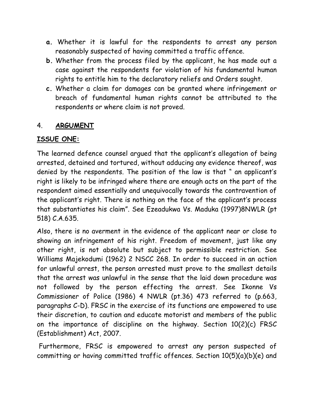- **a.** Whether it is lawful for the respondents to arrest any person reasonably suspected of having committed a traffic offence.
- **b.** Whether from the process filed by the applicant, he has made out a case against the respondents for violation of his fundamental human rights to entitle him to the declaratory reliefs and Orders sought.
- **c.** Whether a claim for damages can be granted where infringement or breach of fundamental human rights cannot be attributed to the respondents or where claim is not proved.

#### 4. **ARGUMENT**

### **ISSUE ONE:**

The learned defence counsel argued that the applicant's allegation of being arrested, detained and tortured, without adducing any evidence thereof, was denied by the respondents. The position of the law is that " an applicant's right is likely to be infringed where there are enough acts on the part of the respondent aimed essentially and unequivocally towards the contravention of the applicant's right. There is nothing on the face of the applicant's process that substantiates his claim". See Ezeadukwa Vs. Maduka (1997)8NWLR (pt 518) C.A.635.

Also, there is no averment in the evidence of the applicant near or close to showing an infringement of his right. Freedom of movement, just like any other right, is not absolute but subject to permissible restriction. See Williams Majekodumi (1962) 2 NSCC 268. In order to succeed in an action for unlawful arrest, the person arrested must prove to the smallest details that the arrest was unlawful in the sense that the laid down procedure was not followed by the person effecting the arrest. See Ikonne Vs Commissioner of Police (1986) 4 NWLR (pt.36) 473 referred to (p.663, paragraphs C-D). FRSC in the exercise of its functions are empowered to use their discretion, to caution and educate motorist and members of the public on the importance of discipline on the highway. Section 10(2)(c) FRSC (Establishment) Act, 2007.

Furthermore, FRSC is empowered to arrest any person suspected of committing or having committed traffic offences. Section 10(5)(a)(b)(e) and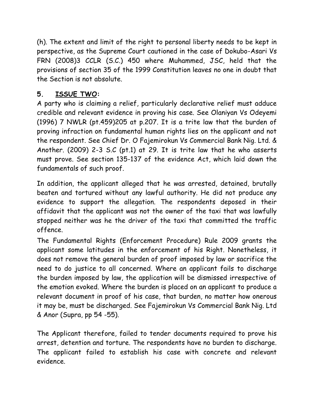(h). The extent and limit of the right to personal liberty needs to be kept in perspective, as the Supreme Court cautioned in the case of Dokubo-Asari Vs FRN (2008)3 CCLR (S.C.) 450 where Muhammed, JSC, held that the provisions of section 35 of the 1999 Constitution leaves no one in doubt that the Section is not absolute.

# **5. ISSUE TWO:**

A party who is claiming a relief, particularly declarative relief must adduce credible and relevant evidence in proving his case. See Olaniyan Vs Odeyemi (1996) 7 NWLR (pt.459)205 at p.207. It is a trite law that the burden of proving infraction on fundamental human rights lies on the applicant and not the respondent. See Chief Dr. O Fajemirokun Vs Commercial Bank Nig. Ltd. & Another. (2009) 2-3 S.C (pt.1) at 29. It is trite law that he who asserts must prove. See section 135-137 of the evidence Act, which laid down the fundamentals of such proof.

In addition, the applicant alleged that he was arrested, detained, brutally beaten and tortured without any lawful authority. He did not produce any evidence to support the allegation. The respondents deposed in their affidavit that the applicant was not the owner of the taxi that was lawfully stopped neither was he the driver of the taxi that committed the traffic offence.

The Fundamental Rights (Enforcement Procedure) Rule 2009 grants the applicant some latitudes in the enforcement of his Right. Nonetheless, it does not remove the general burden of proof imposed by law or sacrifice the need to do justice to all concerned. Where an applicant fails to discharge the burden imposed by law, the application will be dismissed irrespective of the emotion evoked. Where the burden is placed on an applicant to produce a relevant document in proof of his case, that burden, no matter how onerous it may be, must be discharged. See Fajemirokun Vs Commercial Bank Nig. Ltd & Anor (Supra, pp 54 -55).

The Applicant therefore, failed to tender documents required to prove his arrest, detention and torture. The respondents have no burden to discharge. The applicant failed to establish his case with concrete and relevant evidence.